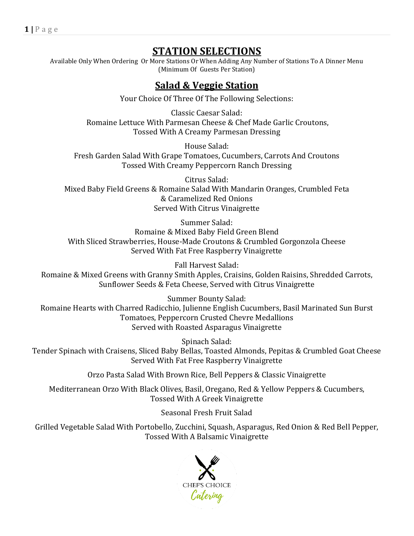## **STATION SELECTIONS**

Available Only When Ordering Or More Stations Or When Adding Any Number of Stations To A Dinner Menu (Minimum Of Guests Per Station)

### **Salad & Veggie Station**

Your Choice Of Three Of The Following Selections:

Classic Caesar Salad: Romaine Lettuce With Parmesan Cheese & Chef Made Garlic Croutons, Tossed With A Creamy Parmesan Dressing

House Salad: Fresh Garden Salad With Grape Tomatoes, Cucumbers, Carrots And Croutons Tossed With Creamy Peppercorn Ranch Dressing

Citrus Salad: Mixed Baby Field Greens & Romaine Salad With Mandarin Oranges, Crumbled Feta & Caramelized Red Onions Served With Citrus Vinaigrette

Summer Salad: Romaine & Mixed Baby Field Green Blend With Sliced Strawberries, House-Made Croutons & Crumbled Gorgonzola Cheese Served With Fat Free Raspberry Vinaigrette

Fall Harvest Salad: Romaine & Mixed Greens with Granny Smith Apples, Craisins, Golden Raisins, Shredded Carrots, Sunflower Seeds & Feta Cheese, Served with Citrus Vinaigrette

Summer Bounty Salad: Romaine Hearts with Charred Radicchio, Julienne English Cucumbers, Basil Marinated Sun Burst Tomatoes, Peppercorn Crusted Chevre Medallions Served with Roasted Asparagus Vinaigrette

Spinach Salad: Tender Spinach with Craisens, Sliced Baby Bellas, Toasted Almonds, Pepitas & Crumbled Goat Cheese Served With Fat Free Raspberry Vinaigrette

Orzo Pasta Salad With Brown Rice, Bell Peppers & Classic Vinaigrette

Mediterranean Orzo With Black Olives, Basil, Oregano, Red & Yellow Peppers & Cucumbers, Tossed With A Greek Vinaigrette

Seasonal Fresh Fruit Salad

Grilled Vegetable Salad With Portobello, Zucchini, Squash, Asparagus, Red Onion & Red Bell Pepper, Tossed With A Balsamic Vinaigrette

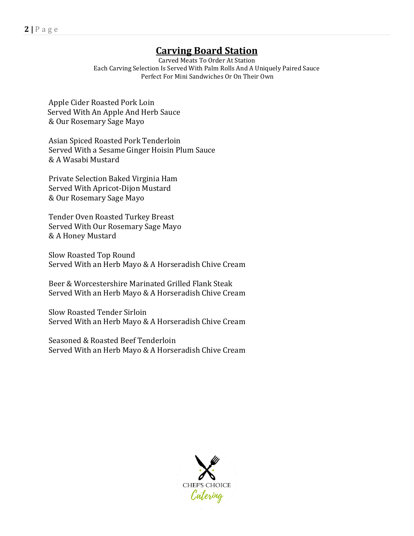# **Carving Board Station**

Carved Meats To Order At Station Each Carving Selection Is Served With Palm Rolls And A Uniquely Paired Sauce Perfect For Mini Sandwiches Or On Their Own

Apple Cider Roasted Pork Loin Served With An Apple And Herb Sauce & Our Rosemary Sage Mayo

Asian Spiced Roasted Pork Tenderloin Served With a Sesame Ginger Hoisin Plum Sauce & A Wasabi Mustard

Private Selection Baked Virginia Ham Served With Apricot-Dijon Mustard & Our Rosemary Sage Mayo

Tender Oven Roasted Turkey Breast Served With Our Rosemary Sage Mayo & A Honey Mustard

Slow Roasted Top Round Served With an Herb Mayo & A Horseradish Chive Cream

Beer & Worcestershire Marinated Grilled Flank Steak Served With an Herb Mayo & A Horseradish Chive Cream

Slow Roasted Tender Sirloin Served With an Herb Mayo & A Horseradish Chive Cream

Seasoned & Roasted Beef Tenderloin Served With an Herb Mayo & A Horseradish Chive Cream

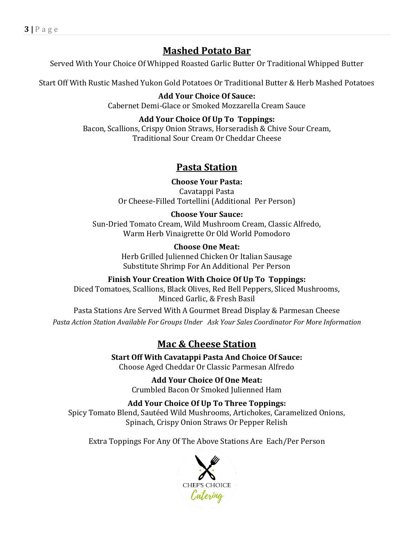### **Mashed Potato Bar**

Served With Your Choice Of Whipped Roasted Garlic Butter Or Traditional Whipped Butter

Start Off With Rustic Mashed Yukon Gold Potatoes Or Traditional Butter & Herb Mashed Potatoes

**Add Your Choice Of Sauce:** Cabernet Demi-Glace or Smoked Mozzarella Cream Sauce

#### **Add Your Choice Of Up To Toppings:**

Bacon, Scallions, Crispy Onion Straws, Horseradish & Chive Sour Cream, Traditional Sour Cream Or Cheddar Cheese

### **Pasta Station**

**Choose Your Pasta:** Cavatappi Pasta Or Cheese-Filled Tortellini (Additional Per Person)

#### **Choose Your Sauce:**

Sun-Dried Tomato Cream, Wild Mushroom Cream, Classic Alfredo, Warm Herb Vinaigrette Or Old World Pomodoro

> **Choose One Meat:**  Herb Grilled Julienned Chicken Or Italian Sausage Substitute Shrimp For An Additional Per Person

**Finish Your Creation With Choice Of Up To Toppings:**  Diced Tomatoes, Scallions, Black Olives, Red Bell Peppers, Sliced Mushrooms, Minced Garlic, & Fresh Basil

Pasta Stations Are Served With A Gourmet Bread Display & Parmesan Cheese *Pasta Action Station Available For Groups Under Ask Your Sales Coordinator For More Information*

# **Mac & Cheese Station**

**Start Off With Cavatappi Pasta And Choice Of Sauce:** Choose Aged Cheddar Or Classic Parmesan Alfredo

> **Add Your Choice Of One Meat:** Crumbled Bacon Or Smoked Julienned Ham

**Add Your Choice Of Up To Three Toppings:** Spicy Tomato Blend, Sautéed Wild Mushrooms, Artichokes, Caramelized Onions, Spinach, Crispy Onion Straws Or Pepper Relish

Extra Toppings For Any Of The Above Stations Are Each/Per Person